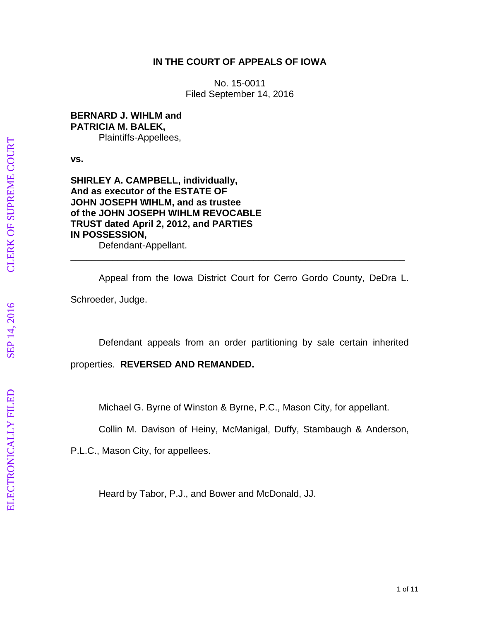## **IN THE COURT OF APPEALS OF IOWA**

No. 15 -0011 Filed September 14, 2016

**BERNARD J. WIHLM and PATRICIA M. BALEK,** Plaintiffs -Appellees,

**vs.** 

**SHIRLEY A. CAMPBELL, individually, And as executor of the ESTATE OF JOHN JOSEPH WIHLM, and as trustee of the JOHN JOSEPH WIHLM REVOCABLE TRUST dated April 2, 2012, and PARTIES IN POSSESSION,**

Defendant -Appellant.

Appeal from the Iowa District Court for Cerro Gordo County, DeDra L. Schroeder, Judge.

\_\_\_\_\_\_\_\_\_\_\_\_\_\_\_\_\_\_\_\_\_\_\_\_\_\_\_\_\_\_\_\_\_\_\_\_\_\_\_\_\_\_\_\_\_\_\_\_\_\_\_\_\_\_\_\_\_\_\_\_\_\_\_\_

Defendant appeals from an order partitioning by sale certain inherited properties. **REVERSED AND REMANDED.**

Michael G. Byrne of Winston & Byrne, P.C., Mason City, for appellant.

Collin M. Davison of Heiny, McManigal, Duffy, Stambaugh & Anderson,

P.L.C., Mason City, for appellee s .

Heard by Tabor, P.J., and Bower and McDonald, JJ.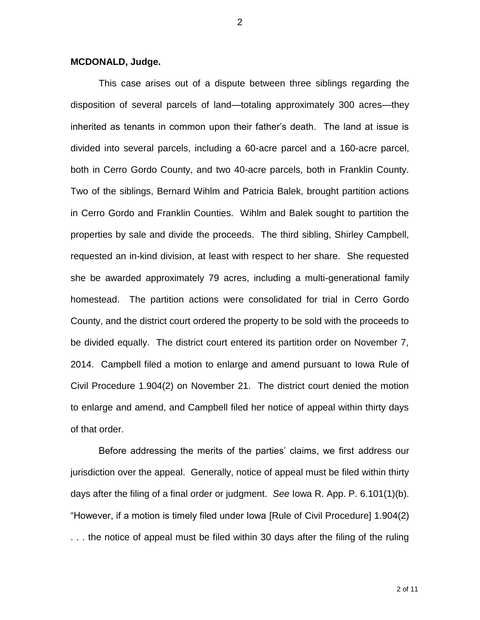## **MCDONALD, Judge.**

This case arises out of a dispute between three siblings regarding the disposition of several parcels of land—totaling approximately 300 acres—they inherited as tenants in common upon their father's death. The land at issue is divided into several parcels, including a 60-acre parcel and a 160-acre parcel, both in Cerro Gordo County, and two 40-acre parcels, both in Franklin County. Two of the siblings, Bernard Wihlm and Patricia Balek, brought partition actions in Cerro Gordo and Franklin Counties. Wihlm and Balek sought to partition the properties by sale and divide the proceeds. The third sibling, Shirley Campbell, requested an in-kind division, at least with respect to her share. She requested she be awarded approximately 79 acres, including a multi-generational family homestead. The partition actions were consolidated for trial in Cerro Gordo County, and the district court ordered the property to be sold with the proceeds to be divided equally. The district court entered its partition order on November 7, 2014. Campbell filed a motion to enlarge and amend pursuant to Iowa Rule of Civil Procedure 1.904(2) on November 21. The district court denied the motion to enlarge and amend, and Campbell filed her notice of appeal within thirty days of that order.

Before addressing the merits of the parties' claims, we first address our jurisdiction over the appeal. Generally, notice of appeal must be filed within thirty days after the filing of a final order or judgment. *See* Iowa R. App. P. 6.101(1)(b). "However, if a motion is timely filed under Iowa [Rule of Civil Procedure] 1.904(2) . . . the notice of appeal must be filed within 30 days after the filing of the ruling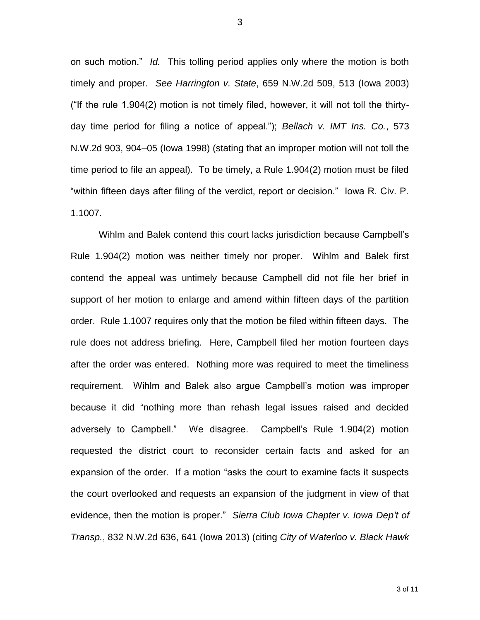on such motion." *Id.* This tolling period applies only where the motion is both timely and proper. *See Harrington v. State*, 659 N.W.2d 509, 513 (Iowa 2003) ("If the rule 1.904(2) motion is not timely filed, however, it will not toll the thirtyday time period for filing a notice of appeal."); *Bellach v. IMT Ins. Co.*, 573 N.W.2d 903, 904–05 (Iowa 1998) (stating that an improper motion will not toll the time period to file an appeal). To be timely, a Rule 1.904(2) motion must be filed "within fifteen days after filing of the verdict, report or decision." Iowa R. Civ. P. 1.1007.

Wihlm and Balek contend this court lacks jurisdiction because Campbell's Rule 1.904(2) motion was neither timely nor proper. Wihlm and Balek first contend the appeal was untimely because Campbell did not file her brief in support of her motion to enlarge and amend within fifteen days of the partition order. Rule 1.1007 requires only that the motion be filed within fifteen days. The rule does not address briefing. Here, Campbell filed her motion fourteen days after the order was entered. Nothing more was required to meet the timeliness requirement. Wihlm and Balek also argue Campbell's motion was improper because it did "nothing more than rehash legal issues raised and decided adversely to Campbell." We disagree. Campbell's Rule 1.904(2) motion requested the district court to reconsider certain facts and asked for an expansion of the order. If a motion "asks the court to examine facts it suspects the court overlooked and requests an expansion of the judgment in view of that evidence, then the motion is proper." *Sierra Club Iowa Chapter v. Iowa Dep't of Transp.*, 832 N.W.2d 636, 641 (Iowa 2013) (citing *City of Waterloo v. Black Hawk*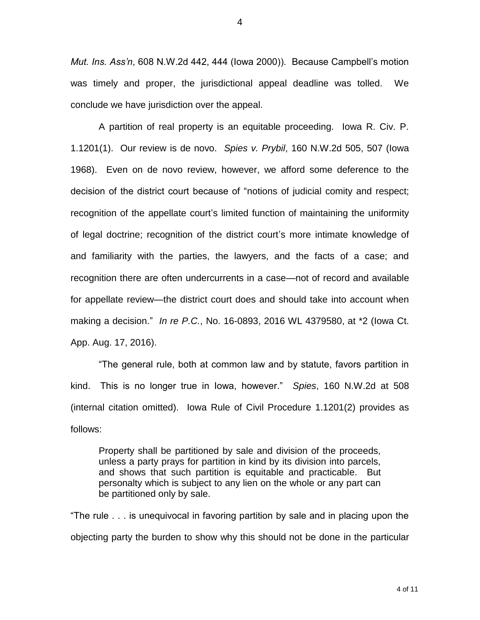*Mut. Ins. Ass'n*, 608 N.W.2d 442, 444 (Iowa 2000)). Because Campbell's motion was timely and proper, the jurisdictional appeal deadline was tolled. We conclude we have jurisdiction over the appeal.

A partition of real property is an equitable proceeding. Iowa R. Civ. P. 1.1201(1). Our review is de novo. *Spies v. Prybil*, 160 N.W.2d 505, 507 (Iowa 1968). Even on de novo review, however, we afford some deference to the decision of the district court because of "notions of judicial comity and respect; recognition of the appellate court's limited function of maintaining the uniformity of legal doctrine; recognition of the district court's more intimate knowledge of and familiarity with the parties, the lawyers, and the facts of a case; and recognition there are often undercurrents in a case—not of record and available for appellate review—the district court does and should take into account when making a decision." *In re P.C.*, No. 16-0893, 2016 WL 4379580, at \*2 (Iowa Ct. App. Aug. 17, 2016).

"The general rule, both at common law and by statute, favors partition in kind. This is no longer true in Iowa, however."*Spies*, 160 N.W.2d at 508 (internal citation omitted). Iowa Rule of Civil Procedure 1.1201(2) provides as follows:

Property shall be partitioned by sale and division of the proceeds, unless a party prays for partition in kind by its division into parcels, and shows that such partition is equitable and practicable. But personalty which is subject to any lien on the whole or any part can be partitioned only by sale.

"The rule . . . is unequivocal in favoring partition by sale and in placing upon the objecting party the burden to show why this should not be done in the particular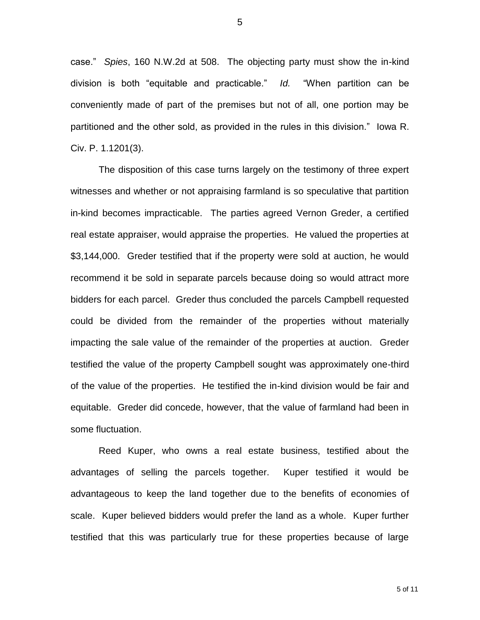case." *Spies*, 160 N.W.2d at 508. The objecting party must show the in-kind division is both "equitable and practicable." *Id.* "When partition can be conveniently made of part of the premises but not of all, one portion may be partitioned and the other sold, as provided in the rules in this division." Iowa R. Civ. P. 1.1201(3).

The disposition of this case turns largely on the testimony of three expert witnesses and whether or not appraising farmland is so speculative that partition in-kind becomes impracticable. The parties agreed Vernon Greder, a certified real estate appraiser, would appraise the properties. He valued the properties at \$3,144,000. Greder testified that if the property were sold at auction, he would recommend it be sold in separate parcels because doing so would attract more bidders for each parcel. Greder thus concluded the parcels Campbell requested could be divided from the remainder of the properties without materially impacting the sale value of the remainder of the properties at auction. Greder testified the value of the property Campbell sought was approximately one-third of the value of the properties. He testified the in-kind division would be fair and equitable. Greder did concede, however, that the value of farmland had been in some fluctuation.

Reed Kuper, who owns a real estate business, testified about the advantages of selling the parcels together. Kuper testified it would be advantageous to keep the land together due to the benefits of economies of scale. Kuper believed bidders would prefer the land as a whole. Kuper further testified that this was particularly true for these properties because of large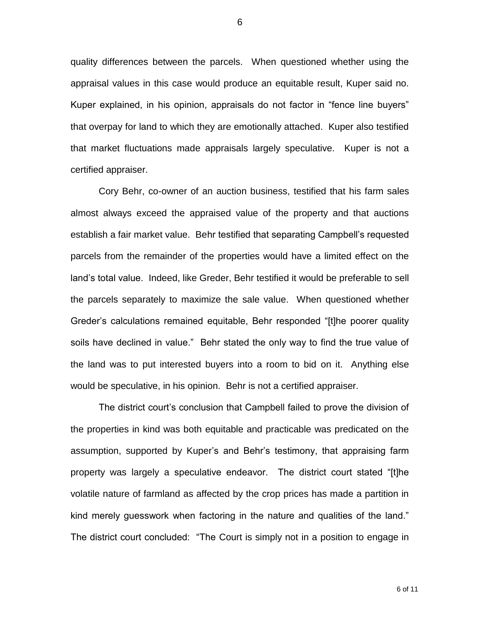quality differences between the parcels. When questioned whether using the appraisal values in this case would produce an equitable result, Kuper said no. Kuper explained, in his opinion, appraisals do not factor in "fence line buyers" that overpay for land to which they are emotionally attached. Kuper also testified that market fluctuations made appraisals largely speculative. Kuper is not a certified appraiser.

Cory Behr, co-owner of an auction business, testified that his farm sales almost always exceed the appraised value of the property and that auctions establish a fair market value. Behr testified that separating Campbell's requested parcels from the remainder of the properties would have a limited effect on the land's total value. Indeed, like Greder, Behr testified it would be preferable to sell the parcels separately to maximize the sale value. When questioned whether Greder's calculations remained equitable, Behr responded "[t]he poorer quality soils have declined in value." Behr stated the only way to find the true value of the land was to put interested buyers into a room to bid on it. Anything else would be speculative, in his opinion. Behr is not a certified appraiser.

The district court's conclusion that Campbell failed to prove the division of the properties in kind was both equitable and practicable was predicated on the assumption, supported by Kuper's and Behr's testimony, that appraising farm property was largely a speculative endeavor. The district court stated "[t]he volatile nature of farmland as affected by the crop prices has made a partition in kind merely guesswork when factoring in the nature and qualities of the land." The district court concluded: "The Court is simply not in a position to engage in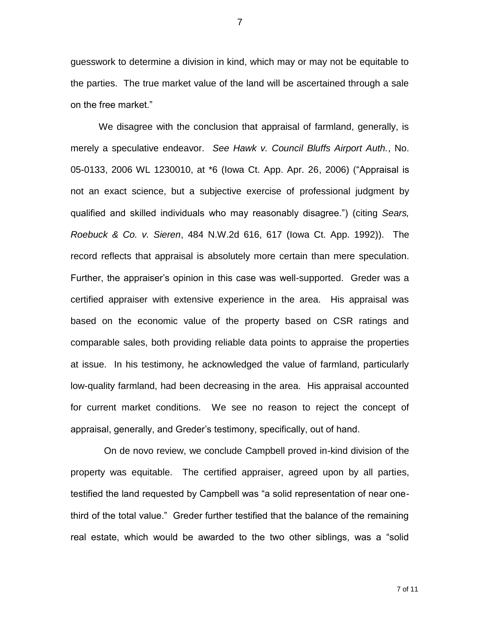guesswork to determine a division in kind, which may or may not be equitable to the parties. The true market value of the land will be ascertained through a sale on the free market."

We disagree with the conclusion that appraisal of farmland, generally, is merely a speculative endeavor. *See Hawk v. Council Bluffs Airport Auth.*, No. 05-0133, 2006 WL 1230010, at \*6 (Iowa Ct. App. Apr. 26, 2006) ("Appraisal is not an exact science, but a subjective exercise of professional judgment by qualified and skilled individuals who may reasonably disagree.") (citing *Sears, Roebuck & Co. v. Sieren*, 484 N.W.2d 616, 617 (Iowa Ct. App. 1992)). The record reflects that appraisal is absolutely more certain than mere speculation. Further, the appraiser's opinion in this case was well-supported. Greder was a certified appraiser with extensive experience in the area. His appraisal was based on the economic value of the property based on CSR ratings and comparable sales, both providing reliable data points to appraise the properties at issue. In his testimony, he acknowledged the value of farmland, particularly low-quality farmland, had been decreasing in the area. His appraisal accounted for current market conditions. We see no reason to reject the concept of appraisal, generally, and Greder's testimony, specifically, out of hand.

 On de novo review, we conclude Campbell proved in-kind division of the property was equitable. The certified appraiser, agreed upon by all parties, testified the land requested by Campbell was "a solid representation of near onethird of the total value." Greder further testified that the balance of the remaining real estate, which would be awarded to the two other siblings, was a "solid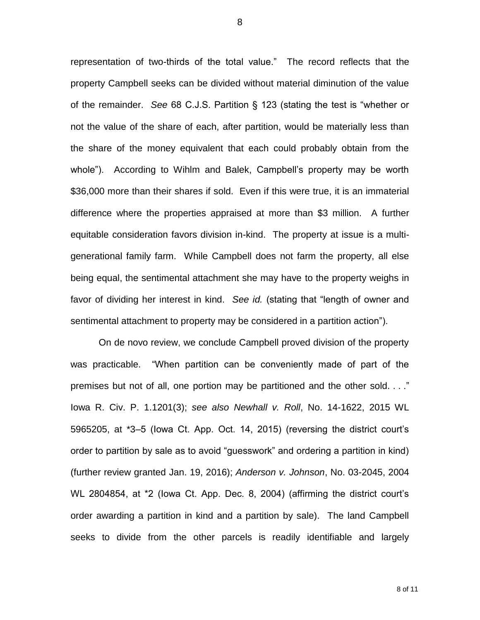representation of two-thirds of the total value." The record reflects that the property Campbell seeks can be divided without material diminution of the value of the remainder. *See* 68 C.J.S. Partition § 123 (stating the test is "whether or not the value of the share of each, after partition, would be materially less than the share of the money equivalent that each could probably obtain from the whole"). According to Wihlm and Balek, Campbell's property may be worth \$36,000 more than their shares if sold. Even if this were true, it is an immaterial difference where the properties appraised at more than \$3 million. A further equitable consideration favors division in-kind. The property at issue is a multigenerational family farm. While Campbell does not farm the property, all else being equal, the sentimental attachment she may have to the property weighs in favor of dividing her interest in kind. *See id.* (stating that "length of owner and sentimental attachment to property may be considered in a partition action").

On de novo review, we conclude Campbell proved division of the property was practicable. "When partition can be conveniently made of part of the premises but not of all, one portion may be partitioned and the other sold. . . ." Iowa R. Civ. P. 1.1201(3); *see also Newhall v. Roll*, No. 14-1622, 2015 WL 5965205, at \*3–5 (Iowa Ct. App. Oct. 14, 2015) (reversing the district court's order to partition by sale as to avoid "guesswork" and ordering a partition in kind) (further review granted Jan. 19, 2016); *Anderson v. Johnson*, No. 03-2045, 2004 WL 2804854, at \*2 (Iowa Ct. App. Dec. 8, 2004) (affirming the district court's order awarding a partition in kind and a partition by sale). The land Campbell seeks to divide from the other parcels is readily identifiable and largely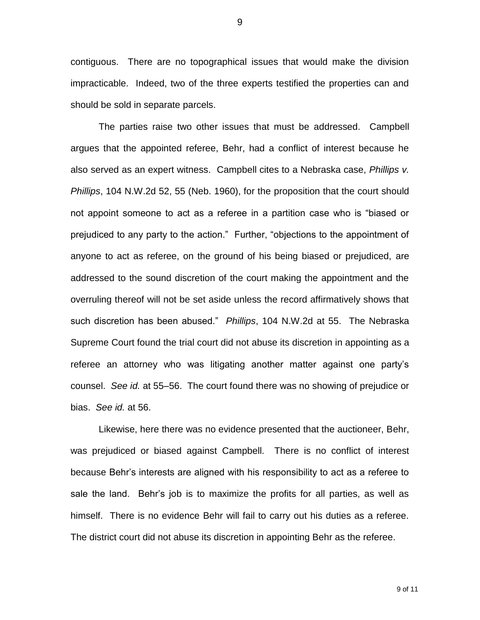contiguous. There are no topographical issues that would make the division impracticable. Indeed, two of the three experts testified the properties can and should be sold in separate parcels.

The parties raise two other issues that must be addressed. Campbell argues that the appointed referee, Behr, had a conflict of interest because he also served as an expert witness. Campbell cites to a Nebraska case, *Phillips v. Phillips*, 104 N.W.2d 52, 55 (Neb. 1960), for the proposition that the court should not appoint someone to act as a referee in a partition case who is "biased or prejudiced to any party to the action." Further, "objections to the appointment of anyone to act as referee, on the ground of his being biased or prejudiced, are addressed to the sound discretion of the court making the appointment and the overruling thereof will not be set aside unless the record affirmatively shows that such discretion has been abused." *Phillips*, 104 N.W.2d at 55.The Nebraska Supreme Court found the trial court did not abuse its discretion in appointing as a referee an attorney who was litigating another matter against one party's counsel. *See id.* at 55–56. The court found there was no showing of prejudice or bias. *See id.* at 56.

Likewise, here there was no evidence presented that the auctioneer, Behr, was prejudiced or biased against Campbell. There is no conflict of interest because Behr's interests are aligned with his responsibility to act as a referee to sale the land. Behr's job is to maximize the profits for all parties, as well as himself. There is no evidence Behr will fail to carry out his duties as a referee. The district court did not abuse its discretion in appointing Behr as the referee.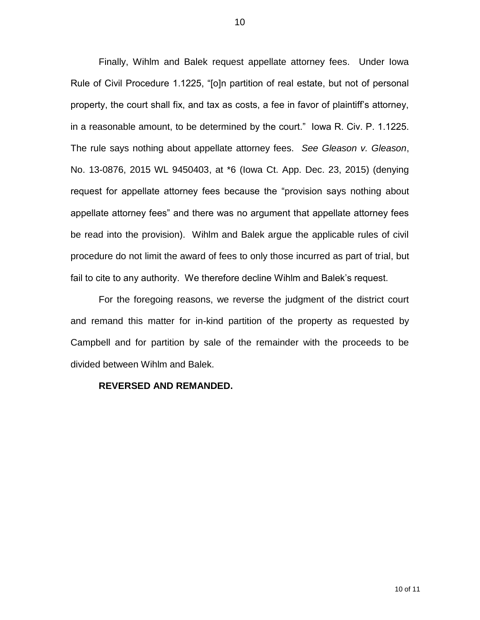Finally, Wihlm and Balek request appellate attorney fees. Under Iowa Rule of Civil Procedure 1.1225, "[o]n partition of real estate, but not of personal property, the court shall fix, and tax as costs, a fee in favor of plaintiff's attorney, in a reasonable amount, to be determined by the court." Iowa R. Civ. P. 1.1225. The rule says nothing about appellate attorney fees. *See Gleason v. Gleason*, No. 13-0876, 2015 WL 9450403, at \*6 (Iowa Ct. App. Dec. 23, 2015) (denying request for appellate attorney fees because the "provision says nothing about appellate attorney fees" and there was no argument that appellate attorney fees be read into the provision). Wihlm and Balek argue the applicable rules of civil procedure do not limit the award of fees to only those incurred as part of trial, but fail to cite to any authority. We therefore decline Wihlm and Balek's request.

For the foregoing reasons, we reverse the judgment of the district court and remand this matter for in-kind partition of the property as requested by Campbell and for partition by sale of the remainder with the proceeds to be divided between Wihlm and Balek.

## **REVERSED AND REMANDED.**